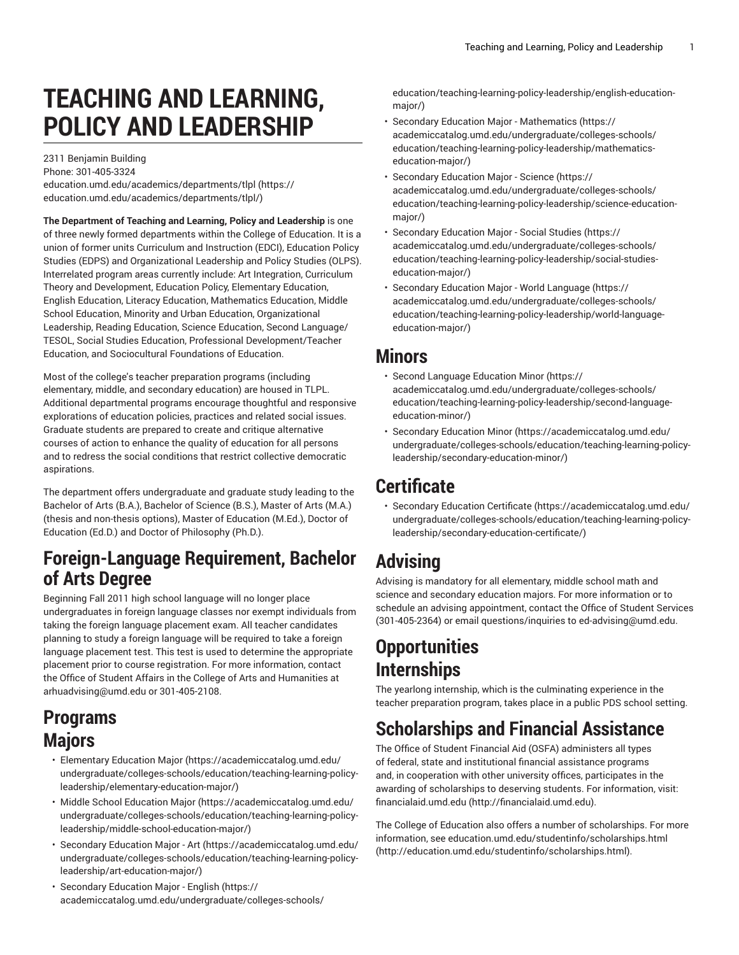# **TEACHING AND LEARNING, POLICY AND LEADERSHIP**

2311 Benjamin Building Phone: 301-405-3324 [education.umd.edu/academics/departments/tlpl](https://education.umd.edu/academics/departments/tlpl/) ([https://](https://education.umd.edu/academics/departments/tlpl/) [education.umd.edu/academics/departments/tlpl/](https://education.umd.edu/academics/departments/tlpl/))

**The Department of Teaching and Learning, Policy and Leadership** is one of three newly formed departments within the College of Education. It is a union of former units Curriculum and Instruction (EDCI), Education Policy Studies (EDPS) and Organizational Leadership and Policy Studies (OLPS). Interrelated program areas currently include: Art Integration, Curriculum Theory and Development, Education Policy, Elementary Education, English Education, Literacy Education, Mathematics Education, Middle School Education, Minority and Urban Education, Organizational Leadership, Reading Education, Science Education, Second Language/ TESOL, Social Studies Education, Professional Development/Teacher Education, and Sociocultural Foundations of Education.

Most of the college's teacher preparation programs (including elementary, middle, and secondary education) are housed in TLPL. Additional departmental programs encourage thoughtful and responsive explorations of education policies, practices and related social issues. Graduate students are prepared to create and critique alternative courses of action to enhance the quality of education for all persons and to redress the social conditions that restrict collective democratic aspirations.

The department offers undergraduate and graduate study leading to the Bachelor of Arts (B.A.), Bachelor of Science (B.S.), Master of Arts (M.A.) (thesis and non-thesis options), Master of Education (M.Ed.), Doctor of Education (Ed.D.) and Doctor of Philosophy (Ph.D.).

#### **Foreign-Language Requirement, Bachelor of Arts Degree**

Beginning Fall 2011 high school language will no longer place undergraduates in foreign language classes nor exempt individuals from taking the foreign language placement exam. All teacher candidates planning to study a foreign language will be required to take a foreign language placement test. This test is used to determine the appropriate placement prior to course registration. For more information, contact the Office of Student Affairs in the College of Arts and Humanities at [arhuadvising@umd.edu](mailto:arhuadvising@umd.edu) or 301-405-2108.

#### **Programs Majors**

- [Elementary](https://academiccatalog.umd.edu/undergraduate/colleges-schools/education/teaching-learning-policy-leadership/elementary-education-major/) Education Major [\(https://academiccatalog.umd.edu/](https://academiccatalog.umd.edu/undergraduate/colleges-schools/education/teaching-learning-policy-leadership/elementary-education-major/) [undergraduate/colleges-schools/education/teaching-learning-policy](https://academiccatalog.umd.edu/undergraduate/colleges-schools/education/teaching-learning-policy-leadership/elementary-education-major/)[leadership/elementary-education-major/](https://academiccatalog.umd.edu/undergraduate/colleges-schools/education/teaching-learning-policy-leadership/elementary-education-major/))
- Middle School [Education](https://academiccatalog.umd.edu/undergraduate/colleges-schools/education/teaching-learning-policy-leadership/middle-school-education-major/) Major ([https://academiccatalog.umd.edu/](https://academiccatalog.umd.edu/undergraduate/colleges-schools/education/teaching-learning-policy-leadership/middle-school-education-major/) [undergraduate/colleges-schools/education/teaching-learning-policy](https://academiccatalog.umd.edu/undergraduate/colleges-schools/education/teaching-learning-policy-leadership/middle-school-education-major/)[leadership/middle-school-education-major/](https://academiccatalog.umd.edu/undergraduate/colleges-schools/education/teaching-learning-policy-leadership/middle-school-education-major/))
- [Secondary](https://academiccatalog.umd.edu/undergraduate/colleges-schools/education/teaching-learning-policy-leadership/art-education-major/) Education Major Art ([https://academiccatalog.umd.edu/](https://academiccatalog.umd.edu/undergraduate/colleges-schools/education/teaching-learning-policy-leadership/art-education-major/) [undergraduate/colleges-schools/education/teaching-learning-policy](https://academiccatalog.umd.edu/undergraduate/colleges-schools/education/teaching-learning-policy-leadership/art-education-major/)[leadership/art-education-major/\)](https://academiccatalog.umd.edu/undergraduate/colleges-schools/education/teaching-learning-policy-leadership/art-education-major/)
- [Secondary](https://academiccatalog.umd.edu/undergraduate/colleges-schools/education/teaching-learning-policy-leadership/english-education-major/) Education Major English [\(https://](https://academiccatalog.umd.edu/undergraduate/colleges-schools/education/teaching-learning-policy-leadership/english-education-major/) [academiccatalog.umd.edu/undergraduate/colleges-schools/](https://academiccatalog.umd.edu/undergraduate/colleges-schools/education/teaching-learning-policy-leadership/english-education-major/)

[education/teaching-learning-policy-leadership/english-education](https://academiccatalog.umd.edu/undergraduate/colleges-schools/education/teaching-learning-policy-leadership/english-education-major/)[major/](https://academiccatalog.umd.edu/undergraduate/colleges-schools/education/teaching-learning-policy-leadership/english-education-major/))

- Secondary Education Major [Mathematics](https://academiccatalog.umd.edu/undergraduate/colleges-schools/education/teaching-learning-policy-leadership/mathematics-education-major/) ([https://](https://academiccatalog.umd.edu/undergraduate/colleges-schools/education/teaching-learning-policy-leadership/mathematics-education-major/) [academiccatalog.umd.edu/undergraduate/colleges-schools/](https://academiccatalog.umd.edu/undergraduate/colleges-schools/education/teaching-learning-policy-leadership/mathematics-education-major/) [education/teaching-learning-policy-leadership/mathematics](https://academiccatalog.umd.edu/undergraduate/colleges-schools/education/teaching-learning-policy-leadership/mathematics-education-major/)[education-major/](https://academiccatalog.umd.edu/undergraduate/colleges-schools/education/teaching-learning-policy-leadership/mathematics-education-major/))
- [Secondary](https://academiccatalog.umd.edu/undergraduate/colleges-schools/education/teaching-learning-policy-leadership/science-education-major/) Education Major Science ([https://](https://academiccatalog.umd.edu/undergraduate/colleges-schools/education/teaching-learning-policy-leadership/science-education-major/) [academiccatalog.umd.edu/undergraduate/colleges-schools/](https://academiccatalog.umd.edu/undergraduate/colleges-schools/education/teaching-learning-policy-leadership/science-education-major/) [education/teaching-learning-policy-leadership/science-education](https://academiccatalog.umd.edu/undergraduate/colleges-schools/education/teaching-learning-policy-leadership/science-education-major/)[major/](https://academiccatalog.umd.edu/undergraduate/colleges-schools/education/teaching-learning-policy-leadership/science-education-major/))
- [Secondary](https://academiccatalog.umd.edu/undergraduate/colleges-schools/education/teaching-learning-policy-leadership/social-studies-education-major/) Education Major Social Studies ([https://](https://academiccatalog.umd.edu/undergraduate/colleges-schools/education/teaching-learning-policy-leadership/social-studies-education-major/) [academiccatalog.umd.edu/undergraduate/colleges-schools/](https://academiccatalog.umd.edu/undergraduate/colleges-schools/education/teaching-learning-policy-leadership/social-studies-education-major/) [education/teaching-learning-policy-leadership/social-studies](https://academiccatalog.umd.edu/undergraduate/colleges-schools/education/teaching-learning-policy-leadership/social-studies-education-major/)[education-major/](https://academiccatalog.umd.edu/undergraduate/colleges-schools/education/teaching-learning-policy-leadership/social-studies-education-major/))
- [Secondary](https://academiccatalog.umd.edu/undergraduate/colleges-schools/education/teaching-learning-policy-leadership/world-language-education-major/) Education Major World Language ([https://](https://academiccatalog.umd.edu/undergraduate/colleges-schools/education/teaching-learning-policy-leadership/world-language-education-major/) [academiccatalog.umd.edu/undergraduate/colleges-schools/](https://academiccatalog.umd.edu/undergraduate/colleges-schools/education/teaching-learning-policy-leadership/world-language-education-major/) [education/teaching-learning-policy-leadership/world-language](https://academiccatalog.umd.edu/undergraduate/colleges-schools/education/teaching-learning-policy-leadership/world-language-education-major/)[education-major/](https://academiccatalog.umd.edu/undergraduate/colleges-schools/education/teaching-learning-policy-leadership/world-language-education-major/))

#### **Minors**

- Second Language [Education](https://academiccatalog.umd.edu/undergraduate/colleges-schools/education/teaching-learning-policy-leadership/second-language-education-minor/) Minor ([https://](https://academiccatalog.umd.edu/undergraduate/colleges-schools/education/teaching-learning-policy-leadership/second-language-education-minor/) [academiccatalog.umd.edu/undergraduate/colleges-schools/](https://academiccatalog.umd.edu/undergraduate/colleges-schools/education/teaching-learning-policy-leadership/second-language-education-minor/) [education/teaching-learning-policy-leadership/second-language](https://academiccatalog.umd.edu/undergraduate/colleges-schools/education/teaching-learning-policy-leadership/second-language-education-minor/)[education-minor/\)](https://academiccatalog.umd.edu/undergraduate/colleges-schools/education/teaching-learning-policy-leadership/second-language-education-minor/)
- [Secondary](https://academiccatalog.umd.edu/undergraduate/colleges-schools/education/teaching-learning-policy-leadership/secondary-education-minor/) Education Minor [\(https://academiccatalog.umd.edu/](https://academiccatalog.umd.edu/undergraduate/colleges-schools/education/teaching-learning-policy-leadership/secondary-education-minor/) [undergraduate/colleges-schools/education/teaching-learning-policy](https://academiccatalog.umd.edu/undergraduate/colleges-schools/education/teaching-learning-policy-leadership/secondary-education-minor/)[leadership/secondary-education-minor/\)](https://academiccatalog.umd.edu/undergraduate/colleges-schools/education/teaching-learning-policy-leadership/secondary-education-minor/)

### **Certificate**

• [Secondary](https://academiccatalog.umd.edu/undergraduate/colleges-schools/education/teaching-learning-policy-leadership/secondary-education-certificate/) Education Certificate [\(https://academiccatalog.umd.edu/](https://academiccatalog.umd.edu/undergraduate/colleges-schools/education/teaching-learning-policy-leadership/secondary-education-certificate/) [undergraduate/colleges-schools/education/teaching-learning-policy](https://academiccatalog.umd.edu/undergraduate/colleges-schools/education/teaching-learning-policy-leadership/secondary-education-certificate/)[leadership/secondary-education-certificate/](https://academiccatalog.umd.edu/undergraduate/colleges-schools/education/teaching-learning-policy-leadership/secondary-education-certificate/))

# **Advising**

Advising is mandatory for all elementary, middle school math and science and secondary education majors. For more information or to schedule an advising appointment, contact the Office of Student Services (301-405-2364) or email questions/inquiries to [ed-advising@umd.edu.](mailto:ed-advising@umd.edu)

## **Opportunities Internships**

The yearlong internship, which is the culminating experience in the teacher preparation program, takes place in a public PDS school setting.

# **Scholarships and Financial Assistance**

The Office of Student Financial Aid (OSFA) administers all types of federal, state and institutional financial assistance programs and, in cooperation with other university offices, participates in the awarding of scholarships to deserving students. For information, visit: [financialaid.umd.edu \(http://financialaid.umd.edu\)](http://financialaid.umd.edu).

The College of Education also offers a number of scholarships. For more information, see [education.umd.edu/studentinfo/scholarships.html](http://education.umd.edu/studentinfo/scholarships.html) [\(http://education.umd.edu/studentinfo/scholarships.html](http://education.umd.edu/studentinfo/scholarships.html)).